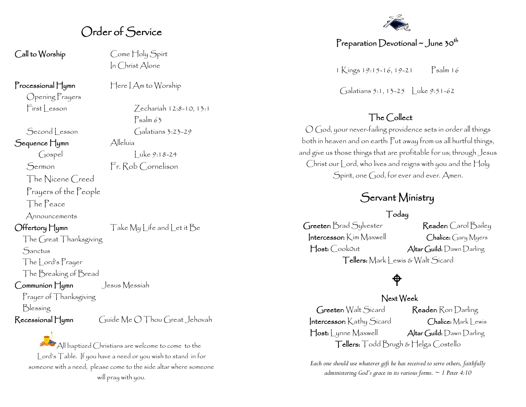## Order of Service

In Christ Alone

Call to Worship Come Holy Spirt

Processional Hymn Here | Am to Worship

Opening Prayers  $First|$  esson  $7$  echariah 12:8-10, 13:1

Second esson Galatians 3:23-29

Sequence Hymn Alleluía

The Nicene Creed

Prayers of the People

The Peace

Announcements

Offertory Hymn Take My Life and Let it Be

The Great Thanksgiving **Sanctus** 

The Lord's Prayer

The Breaking of Bread

Communion Hymn Jesus Messiah

Prayer of Thanksgiving

Blessing

Recessional Hymn Guide Me O Thou Great Jehovah

All baptized Christians are welcome to come to the Lord's Table. If you have a need or you wish to stand in for someone with a need, please come to the side altar where someone will pray with you.



### Preparation Devotional ~ June 30<sup>th</sup>

1 Kings 19:15-16, 19-21 Psalm 16

Galatians 5:1, 13-25 | uke 9:51-62

## The Collect

O God, your never-failing providence sets in order all things both in heaven and on earth: Put away from us all hurtful things, and give us those things that are profitable for us; through Jesus Christ our Lord, who lives and reigns with you and the Holy Spirit, one God, for ever and ever. Amen.

## Servant Ministry

#### Today

Greeter: Brad Sylvester Reader: Carol Bailey Intercessor: Kim Maxwell Chalice: Gary Myers Host: CookOut Altar Guild: Dawn Darling Tellers: Mark Lewis & Walt Sicard

# $\bigoplus$

### Next Week

Greeter: Walt Sicard Reader: Ron Darling Intercessor: Kathy Sicard Chalice: Mark Lewis Host: Lynne Maxwell Altar Guild: Dawn Darling Tellers: Todd Brugh & Helga Costello

*Each one should use whatever gift he has received to serve others, faithfully administering God's grace in its various forms. ~ 1 Peter 4:10*

Psalm 63

 $\int \csc y \cdot 18-24$ Sermon Fr. Rob Cornelison